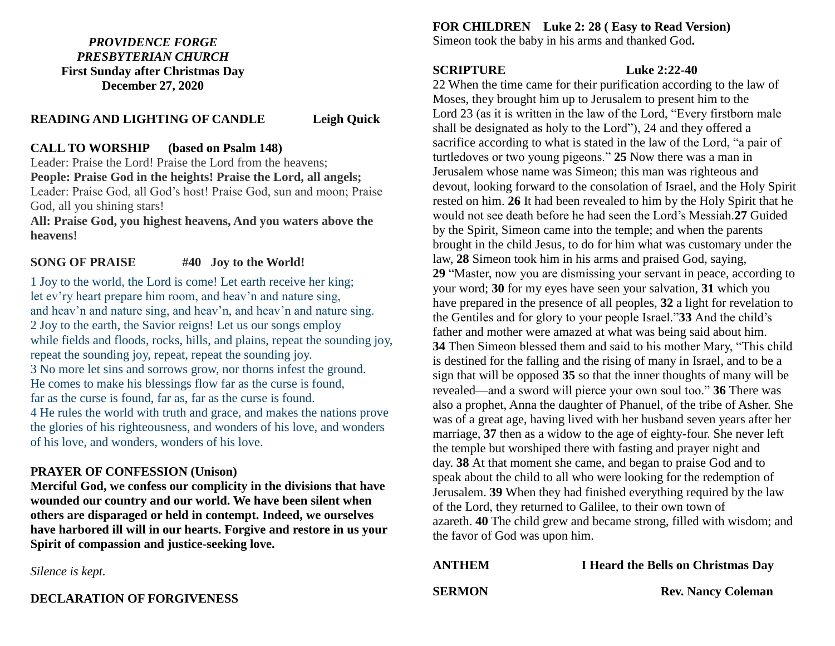# *PROVIDENCE FORGE PRESBYTERIAN CHURCH* **First Sunday after Christmas Day December 27, 2020**

#### **May 5,2020 READING AND LIGHTING OF CANDLE Leigh Quick**

# **CALL TO WORSHIP (based on Psalm 148)**

Leader: Praise the Lord! Praise the Lord from the heavens; **People: Praise God in the heights! Praise the Lord, all angels;**  Leader: Praise God, all God's host! Praise God, sun and moon; Praise God, all you shining stars!

**All: Praise God, you highest heavens, And you waters above the heavens!**

### **SONG OF PRAISE** #40 Joy to the World!

1 Joy to the world, the Lord is come! Let earth receive her king; let ev'ry heart prepare him room, and heav'n and nature sing, and heav'n and nature sing, and heav'n, and heav'n and nature sing. 2 Joy to the earth, the Savior reigns! Let us our songs employ while fields and floods, rocks, hills, and plains, repeat the sounding joy, repeat the sounding joy, repeat, repeat the sounding joy. 3 No more let sins and sorrows grow, nor thorns infest the ground. He comes to make his blessings flow far as the curse is found, far as the curse is found, far as, far as the curse is found. 4 He rules the world with truth and grace, and makes the nations prove the glories of his righteousness, and wonders of his love, and wonders of his love, and wonders, wonders of his love.

### **PRAYER OF CONFESSION (Unison)**

**Merciful God, we confess our complicity in the divisions that have wounded our country and our world. We have been silent when others are disparaged or held in contempt. Indeed, we ourselves have harbored ill will in our hearts. Forgive and restore in us your Spirit of compassion and justice-seeking love.** 

*Silence is kept.*

# **DECLARATION OF FORGIVENESS**

#### **FOR CHILDREN Luke 2: 28 ( Easy to Read Version)**

Simeon took the baby in his arms and thanked God**.**

**SCRIPTURE** Luke 2:22-40

22 When the time came for their purification according to the law of Moses, they brought him up to Jerusalem to present him to the Lord 23 (as it is written in the law of the Lord, "Every firstborn male shall be designated as holy to the Lord"), 24 and they offered a sacrifice according to what is stated in the law of the Lord, "a pair of turtledoves or two young pigeons." **25** Now there was a man in Jerusalem whose name was Simeon; this man was righteous and devout, looking forward to the consolation of Israel, and the Holy Spirit rested on him. **26** It had been revealed to him by the Holy Spirit that he would not see death before he had seen the Lord's Messiah.**27** Guided by the Spirit, Simeon came into the temple; and when the parents brought in the child Jesus, to do for him what was customary under the law, **28** Simeon took him in his arms and praised God, saying, **29** "Master, now you are dismissing your servant in peace, according to your word; **30** for my eyes have seen your salvation, **31** which you have prepared in the presence of all peoples, **32** a light for revelation to the Gentiles and for glory to your people Israel."**33** And the child's father and mother were amazed at what was being said about him. **34** Then Simeon blessed them and said to his mother Mary, "This child is destined for the falling and the rising of many in Israel, and to be a sign that will be opposed **35** so that the inner thoughts of many will be revealed—and a sword will pierce your own soul too." **36** There was also a prophet, Anna the daughter of Phanuel, of the tribe of Asher. She was of a great age, having lived with her husband seven years after her marriage, **37** then as a widow to the age of eighty-four. She never left the temple but worshiped there with fasting and prayer night and day. **38** At that moment she came, and began to praise God and to speak about the child to all who were looking for the redemption of Jerusalem. **39** When they had finished everything required by the law of the Lord, they returned to Galilee, to their own town of azareth. **40** The child grew and became strong, filled with wisdom; and the favor of God was upon him.

| <b>ANTHEM</b> | I Heard the Bells on Christmas Day |
|---------------|------------------------------------|
| <b>SERMON</b> | <b>Rev. Nancy Coleman</b>          |